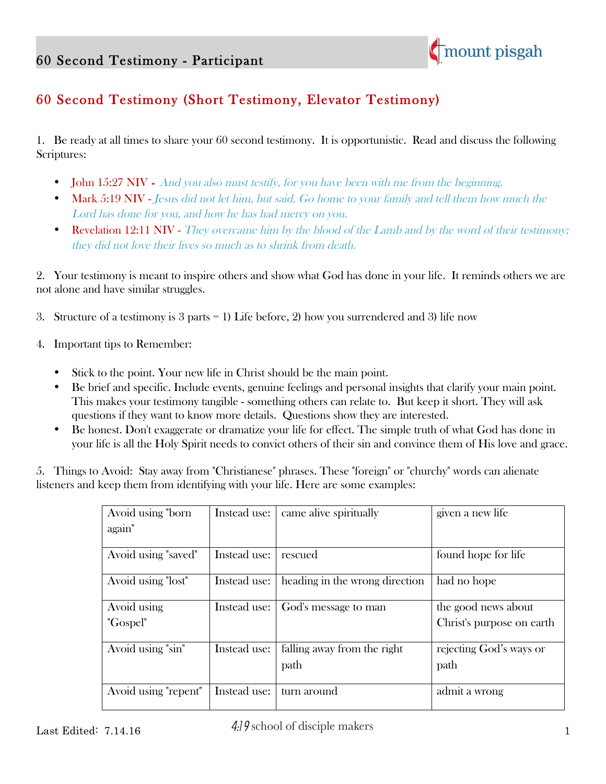

## 60 Second Testimony (Short Testimony, Elevator Testimony)

1. Be ready at all times to share your 60 second testimony. It is opportunistic. Read and discuss the following Scriptures:

- John 15:27 NIV And you also must testify, for you have been with me from the beginning.
- **Mark 5:19 NIV** Jesus did not let him, but said, Go home to your family and tell them how much the Lord has done for you, and how he has had mercy on you.
- Revelation 12:11 NIV They overcame him by the blood of the Lamb and by the word of their testimony; they did not love their lives so much as to shrink from death.

2. Your testimony is meant to inspire others and show what God has done in your life. It reminds others we are not alone and have similar struggles.

- 3. Structure of a testimony is  $3$  parts  $= 1$ ) Life before, 2) how you surrendered and 3) life now
- 4. Important tips to Remember:
	- Stick to the point. Your new life in Christ should be the main point.
	- Be brief and specific. Include events, genuine feelings and personal insights that clarify your main point. This makes your testimony tangible - something others can relate to. But keep it short. They will ask questions if they want to know more details. Questions show they are interested.
	- Be honest. Don't exaggerate or dramatize your life for effect. The simple truth of what God has done in your life is all the Holy Spirit needs to convict others of their sin and convince them of His love and grace.

5. Things to Avoid: Stay away from "Christianese" phrases. These "foreign" or "churchy" words can alienate listeners and keep them from identifying with your life. Here are some examples:

| Avoid using "born"   | Instead use: | came alive spiritually         | given a new life           |
|----------------------|--------------|--------------------------------|----------------------------|
| again"               |              |                                |                            |
|                      |              |                                |                            |
| Avoid using "saved"  | Instead use: | rescued                        | found hope for life        |
|                      |              |                                |                            |
| Avoid using "lost"   | Instead use: | heading in the wrong direction | had no hope                |
|                      |              |                                |                            |
| Avoid using          | Instead use: | God's message to man           | the good news about        |
| "Gospel"             |              |                                | Christ's purpose on earth. |
|                      |              |                                |                            |
| Avoid using "sin"    | Instead use: | falling away from the right    | rejecting God's ways or    |
|                      |              | path                           | path                       |
|                      |              |                                |                            |
| Avoid using "repent" | Instead use: | turn around                    | admit a wrong              |
|                      |              |                                |                            |